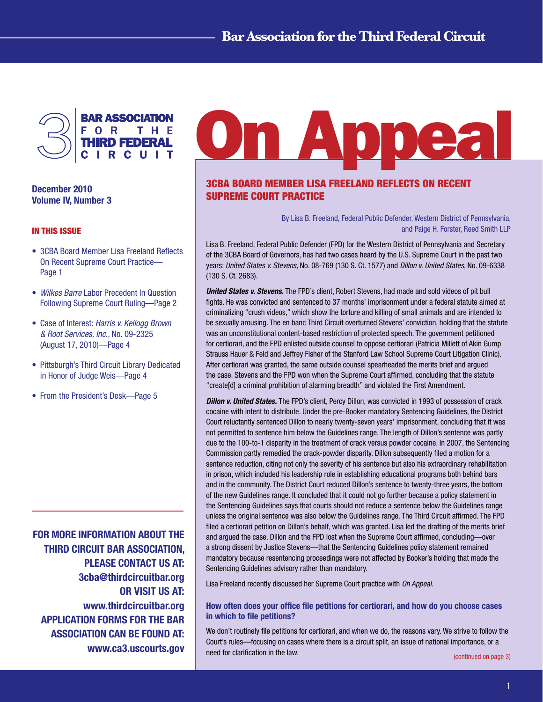

December 2010 Volume IV, Number 3

## IN THIS ISSUE

- 3CBA Board Member Lisa Freeland Reflects On Recent Supreme Court Practice— Page 1
- *Wilkes Barre* Labor Precedent In Question Following Supreme Court Ruling—Page 2
- Case of Interest: *Harris v. Kellogg Brown & Root Services, Inc.,* No. 09-2325 (August 17, 2010)—Page 4
- Pittsburgh's Third Circuit Library Dedicated in Honor of Judge Weis—Page 4
- From the President's Desk—Page 5

FOR MORE INFORMATION ABOUT THE THIRD CIRCUIT BAR ASSOCIATION, PLEASE CONTACT US AT: 3cba@thirdcircuitbar.org OR VISIT US AT: www.thirdcircuitbar.org APPLICATION FORMS FOR THE BAR ASSOCIATION CAN BE FOUND AT: www.ca3.uscourts.gov

# **On Appea**

# 3CBA BOARD MEMBER LISA FREELAND REFLECTS ON RECENT SUPREME COURT PRACTICE

By Lisa B. Freeland, Federal Public Defender, Western District of Pennsylvania, and Paige H. Forster, Reed Smith LLP

Lisa B. Freeland, Federal Public Defender (FPD) for the Western District of Pennsylvania and Secretary of the 3CBA Board of Governors, has had two cases heard by the U.S. Supreme Court in the past two years: *United States v. Stevens,* No. 08-769 (130 S. Ct. 1577) and *Dillon v. United States*, No. 09-6338 (130 S. Ct. 2683).

*United States v. Stevens*. The FPD's client, Robert Stevens, had made and sold videos of pit bull fights. He was convicted and sentenced to 37 months' imprisonment under a federal statute aimed at criminalizing "crush videos," which show the torture and killing of small animals and are intended to be sexually arousing. The en banc Third Circuit overturned Stevens' conviction, holding that the statute was an unconstitutional content-based restriction of protected speech. The government petitioned for certiorari, and the FPD enlisted outside counsel to oppose certiorari (Patricia Millett of Akin Gump Strauss Hauer & Feld and Jeffrey Fisher of the Stanford Law School Supreme Court Litigation Clinic). After certiorari was granted, the same outside counsel spearheaded the merits brief and argued the case. Stevens and the FPD won when the Supreme Court affirmed, concluding that the statute "create[d] a criminal prohibition of alarming breadth" and violated the First Amendment.

*Dillon v. United States.* The FPD's client, Percy Dillon, was convicted in 1993 of possession of crack cocaine with intent to distribute. Under the pre-Booker mandatory Sentencing Guidelines, the District Court reluctantly sentenced Dillon to nearly twenty-seven years' imprisonment, concluding that it was not permitted to sentence him below the Guidelines range. The length of Dillon's sentence was partly due to the 100-to-1 disparity in the treatment of crack versus powder cocaine. In 2007, the Sentencing Commission partly remedied the crack-powder disparity. Dillon subsequently filed a motion for a sentence reduction, citing not only the severity of his sentence but also his extraordinary rehabilitation in prison, which included his leadership role in establishing educational programs both behind bars and in the community. The District Court reduced Dillon's sentence to twenty-three years, the bottom of the new Guidelines range. It concluded that it could not go further because a policy statement in the Sentencing Guidelines says that courts should not reduce a sentence below the Guidelines range unless the original sentence was also below the Guidelines range. The Third Circuit affirmed. The FPD filed a certiorari petition on Dillon's behalf, which was granted. Lisa led the drafting of the merits brief and argued the case. Dillon and the FPD lost when the Supreme Court affirmed, concluding—over a strong dissent by Justice Stevens—that the Sentencing Guidelines policy statement remained mandatory because resentencing proceedings were not affected by Booker's holding that made the Sentencing Guidelines advisory rather than mandatory.

Lisa Freeland recently discussed her Supreme Court practice with *On Appeal.*

## How often does your office file petitions for certiorari, and how do you choose cases in which to file petitions?

We don't routinely file petitions for certiorari, and when we do, the reasons vary. We strive to follow the Court's rules—focusing on cases where there is a circuit split, an issue of national importance, or a need for clarification in the law.

[\(continued on page 3\)](#page-2-0)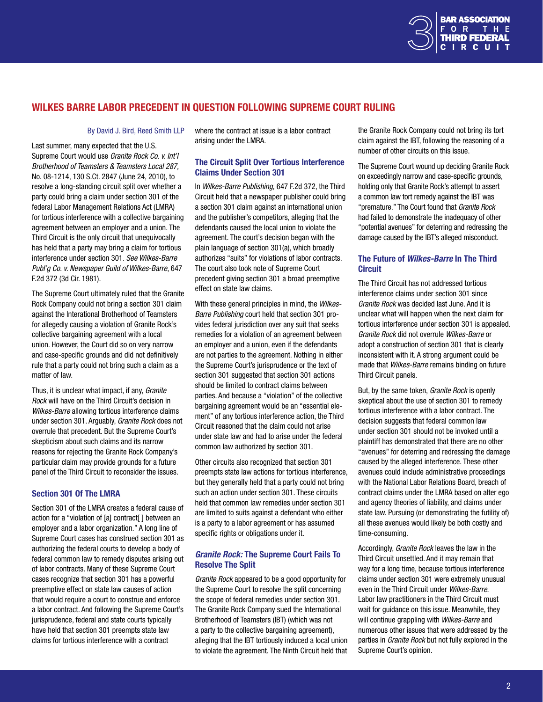

# WILKES BARRE LABOR PRECEDENT IN QUESTION FOLLOWING SUPREME COURT RULING

#### By David J. Bird, Reed Smith LLP

Last summer, many expected that the U.S. Supreme Court would use *Granite Rock Co. v. Int'l Brotherhood of Teamsters & Teamsters Local 287,*  No. 08-1214, 130 S.Ct. 2847 (June 24, 2010), to resolve a long-standing circuit split over whether a party could bring a claim under section 301 of the federal Labor Management Relations Act (LMRA) for tortious interference with a collective bargaining agreement between an employer and a union. The Third Circuit is the only circuit that unequivocally has held that a party may bring a claim for tortious interference under section 301. *See Wilkes-Barre Publ'g Co. v. Newspaper Guild of Wilkes-Barre*, 647 F.2d 372 (3d Cir. 1981).

The Supreme Court ultimately ruled that the Granite Rock Company could not bring a section 301 claim against the Interational Brotherhood of Teamsters for allegedly causing a violation of Granite Rock's collective bargaining agreement with a local union. However, the Court did so on very narrow and case-specific grounds and did not definitively rule that a party could not bring such a claim as a matter of law.

Thus, it is unclear what impact, if any, *Granite Rock* will have on the Third Circuit's decision in *Wilkes-Barre* allowing tortious interference claims under section 301. Arguably, *Granite Rock* does not overrule that precedent. But the Supreme Court's skepticism about such claims and its narrow reasons for rejecting the Granite Rock Company's particular claim may provide grounds for a future panel of the Third Circuit to reconsider the issues.

### Section 301 Of The LMRA

Section 301 of the LMRA creates a federal cause of action for a "violation of [a] contract[ ] between an employer and a labor organization." A long line of Supreme Court cases has construed section 301 as authorizing the federal courts to develop a body of federal common law to remedy disputes arising out of labor contracts. Many of these Supreme Court cases recognize that section 301 has a powerful preemptive effect on state law causes of action that would require a court to construe and enforce a labor contract. And following the Supreme Court's jurisprudence, federal and state courts typically have held that section 301 preempts state law claims for tortious interference with a contract

where the contract at issue is a labor contract arising under the LMRA.

## The Circuit Split Over Tortious Interference Claims Under Section 301

In *Wilkes-Barre Publishing,* 647 F.2d 372, the Third Circuit held that a newspaper publisher could bring a section 301 claim against an international union and the publisher's competitors, alleging that the defendants caused the local union to violate the agreement. The court's decision began with the plain language of section 301(a), which broadly authorizes "suits" for violations of labor contracts. The court also took note of Supreme Court precedent giving section 301 a broad preemptive effect on state law claims.

With these general principles in mind, the *Wilkes-Barre Publishing* court held that section 301 provides federal jurisdiction over any suit that seeks remedies for a violation of an agreement between an employer and a union, even if the defendants are not parties to the agreement. Nothing in either the Supreme Court's jurisprudence or the text of section 301 suggested that section 301 actions should be limited to contract claims between parties. And because a "violation" of the collective bargaining agreement would be an "essential element" of any tortious interference action, the Third Circuit reasoned that the claim could not arise under state law and had to arise under the federal common law authorized by section 301.

Other circuits also recognized that section 301 preempts state law actions for tortious interference, but they generally held that a party could not bring such an action under section 301. These circuits held that common law remedies under section 301 are limited to suits against a defendant who either is a party to a labor agreement or has assumed specific rights or obligations under it.

## *Granite Rock:* The Supreme Court Fails To Resolve The Split

*Granite Rock* appeared to be a good opportunity for the Supreme Court to resolve the split concerning the scope of federal remedies under section 301. The Granite Rock Company sued the International Brotherhood of Teamsters (IBT) (which was not a party to the collective bargaining agreement), alleging that the IBT tortiously induced a local union to violate the agreement. The Ninth Circuit held that

the Granite Rock Company could not bring its tort claim against the IBT, following the reasoning of a number of other circuits on this issue.

The Supreme Court wound up deciding Granite Rock on exceedingly narrow and case-specific grounds, holding only that Granite Rock's attempt to assert a common law tort remedy against the IBT was "premature." The Court found that *Granite Rock* had failed to demonstrate the inadequacy of other "potential avenues" for deterring and redressing the damage caused by the IBT's alleged misconduct.

## The Future of *Wilkes-Barre* In The Third **Circuit**

The Third Circuit has not addressed tortious interference claims under section 301 since *Granite Rock* was decided last June. And it is unclear what will happen when the next claim for tortious interference under section 301 is appealed. *Granite Rock* did not overrule *Wilkes-Barre* or adopt a construction of section 301 that is clearly inconsistent with it. A strong argument could be made that *Wilkes-Barre* remains binding on future Third Circuit panels.

But, by the same token, *Granite Rock* is openly skeptical about the use of section 301 to remedy tortious interference with a labor contract. The decision suggests that federal common law under section 301 should not be invoked until a plaintiff has demonstrated that there are no other "avenues" for deterring and redressing the damage caused by the alleged interference. These other avenues could include administrative proceedings with the National Labor Relations Board, breach of contract claims under the LMRA based on alter ego and agency theories of liability, and claims under state law. Pursuing (or demonstrating the futility of) all these avenues would likely be both costly and time-consuming.

Accordingly, *Granite Rock* leaves the law in the Third Circuit unsettled. And it may remain that way for a long time, because tortious interference claims under section 301 were extremely unusual even in the Third Circuit under *Wilkes-Barre*. Labor law practitioners in the Third Circuit must wait for guidance on this issue. Meanwhile, they will continue grappling with *Wilkes-Barre* and numerous other issues that were addressed by the parties in *Granite Rock* but not fully explored in the Supreme Court's opinion.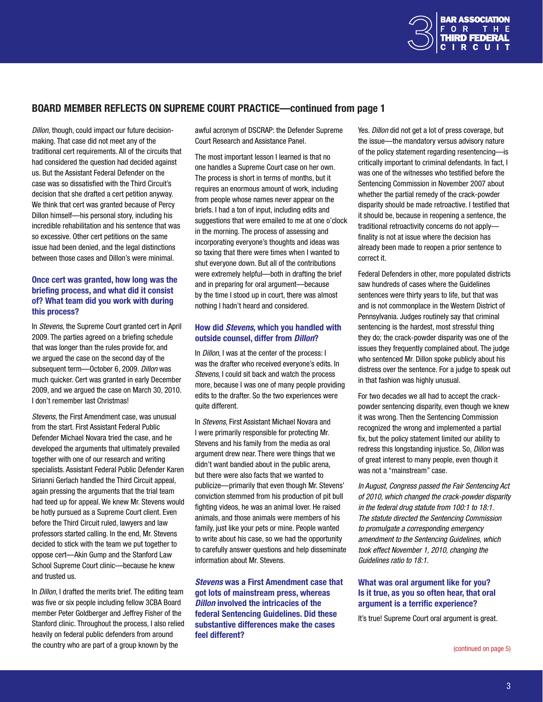

# <span id="page-2-0"></span>BOARD MEMBER REFLECTS ON SUPREME COURT PRACTICE—continued from page 1

*Dillon*, though, could impact our future decisionmaking. That case did not meet any of the traditional cert requirements. All of the circuits that had considered the question had decided against us. But the Assistant Federal Defender on the case was so dissatisfied with the Third Circuit's decision that she drafted a cert petition anyway. We think that cert was granted because of Percy Dillon himself—his personal story, including his incredible rehabilitation and his sentence that was so excessive. Other cert petitions on the same issue had been denied, and the legal distinctions between those cases and Dillon's were minimal.

## Once cert was granted, how long was the briefing process, and what did it consist of? What team did you work with during this process?

In *Stevens*, the Supreme Court granted cert in April 2009. The parties agreed on a briefing schedule that was longer than the rules provide for, and we argued the case on the second day of the subsequent term—October 6, 2009. *Dillon* was much quicker. Cert was granted in early December 2009, and we argued the case on March 30, 2010. I don't remember last Christmas!

*Stevens*, the First Amendment case, was unusual from the start. First Assistant Federal Public Defender Michael Novara tried the case, and he developed the arguments that ultimately prevailed together with one of our research and writing specialists. Assistant Federal Public Defender Karen Sirianni Gerlach handled the Third Circuit appeal, again pressing the arguments that the trial team had teed up for appeal. We knew Mr. Stevens would be hotly pursued as a Supreme Court client. Even before the Third Circuit ruled, lawyers and law professors started calling. In the end, Mr. Stevens decided to stick with the team we put together to oppose cert—Akin Gump and the Stanford Law School Supreme Court clinic—because he knew and trusted us.

In *Dillon*, I drafted the merits brief. The editing team was five or six people including fellow 3CBA Board member Peter Goldberger and Jeffrey Fisher of the Stanford clinic. Throughout the process, I also relied heavily on federal public defenders from around the country who are part of a group known by the

awful acronym of DSCRAP: the Defender Supreme Court Research and Assistance Panel.

The most important lesson I learned is that no one handles a Supreme Court case on her own. The process is short in terms of months, but it requires an enormous amount of work, including from people whose names never appear on the briefs. I had a ton of input, including edits and suggestions that were emailed to me at one o'clock in the morning. The process of assessing and incorporating everyone's thoughts and ideas was so taxing that there were times when I wanted to shut everyone down. But all of the contributions were extremely helpful—both in drafting the brief and in preparing for oral argument—because by the time I stood up in court, there was almost nothing I hadn't heard and considered.

## How did *Stevens*, which you handled with outside counsel, differ from *Dillon*?

In *Dillon*, I was at the center of the process: I was the drafter who received everyone's edits. In *Stevens*, I could sit back and watch the process more, because I was one of many people providing edits to the drafter. So the two experiences were quite different.

In *Stevens*, First Assistant Michael Novara and I were primarily responsible for protecting Mr. Stevens and his family from the media as oral argument drew near. There were things that we didn't want bandied about in the public arena, but there were also facts that we wanted to publicize—primarily that even though Mr. Stevens' conviction stemmed from his production of pit bull fighting videos, he was an animal lover. He raised animals, and those animals were members of his family, just like your pets or mine. People wanted to write about his case, so we had the opportunity to carefully answer questions and help disseminate information about Mr. Stevens.

*Stevens* was a First Amendment case that got lots of mainstream press, whereas *Dillon* involved the intricacies of the federal Sentencing Guidelines. Did these substantive differences make the cases feel different?

Yes. *Dillon* did not get a lot of press coverage, but the issue—the mandatory versus advisory nature of the policy statement regarding resentencing—is critically important to criminal defendants. In fact, I was one of the witnesses who testified before the Sentencing Commission in November 2007 about whether the partial remedy of the crack-powder disparity should be made retroactive. I testified that it should be, because in reopening a sentence, the traditional retroactivity concerns do not apply finality is not at issue where the decision has already been made to reopen a prior sentence to correct it.

Federal Defenders in other, more populated districts saw hundreds of cases where the Guidelines sentences were thirty years to life, but that was and is not commonplace in the Western District of Pennsylvania. Judges routinely say that criminal sentencing is the hardest, most stressful thing they do; the crack-powder disparity was one of the issues they frequently complained about. The judge who sentenced Mr. Dillon spoke publicly about his distress over the sentence. For a judge to speak out in that fashion was highly unusual.

For two decades we all had to accept the crackpowder sentencing disparity, even though we knew it was wrong. Then the Sentencing Commission recognized the wrong and implemented a partial fix, but the policy statement limited our ability to redress this longstanding injustice. So, *Dillon* was of great interest to many people, even though it was not a "mainstream" case.

*In August, Congress passed the Fair Sentencing Act of 2010, which changed the crack-powder disparity in the federal drug statute from 100:1 to 18:1. The statute directed the Sentencing Commission to promulgate a corresponding emergency amendment to the Sentencing Guidelines, which took effect November 1, 2010, changing the Guidelines ratio to 18:1.*

## What was oral argument like for you? Is it true, as you so often hear, that oral argument is a terrific experience?

It's true! Supreme Court oral argument is great.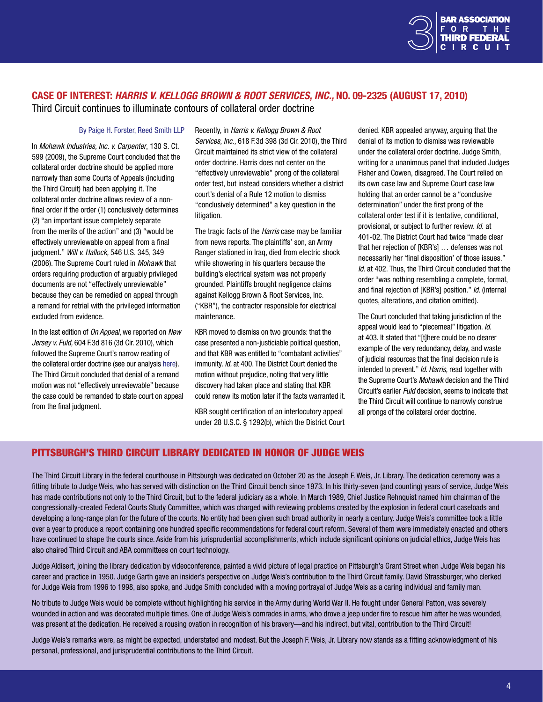

# CASE OF INTEREST: *HARRIS V. KELLOGG BROWN & ROOT SERVICES, INC.,* NO. 09-2325 (AUGUST 17, 2010)

Third Circuit continues to illuminate contours of collateral order doctrine

## By Paige H. Forster, Reed Smith LLP

In *Mohawk Industries, Inc. v. Carpenter*, 130 S. Ct. 599 (2009), the Supreme Court concluded that the collateral order doctrine should be applied more narrowly than some Courts of Appeals (including the Third Circuit) had been applying it. The collateral order doctrine allows review of a nonfinal order if the order (1) conclusively determines (2) "an important issue completely separate from the merits of the action" and (3) "would be effectively unreviewable on appeal from a final judgment." *Will v. Hallock,* 546 U.S. 345, 349 (2006). The Supreme Court ruled in *Mohawk* that orders requiring production of arguably privileged documents are not "effectively unreviewable" because they can be remedied on appeal through a remand for retrial with the privileged information excluded from evidence.

In the last edition of *On Appeal*, we reported on *New Jersey v. Fuld,* 604 F.3d 816 (3d Cir. 2010), which followed the Supreme Court's narrow reading of the collateral order doctrine (see our analysis [here](http://www.thirdcircuitbar.org/newsletters/On_Appeal_July_2010.pdf)). The Third Circuit concluded that denial of a remand motion was not "effectively unreviewable" because the case could be remanded to state court on appeal from the final judgment.

Recently, in *Harris v. Kellogg Brown & Root Services, Inc.,* 618 F.3d 398 (3d Cir. 2010), the Third Circuit maintained its strict view of the collateral order doctrine. Harris does not center on the "effectively unreviewable" prong of the collateral order test, but instead considers whether a district court's denial of a Rule 12 motion to dismiss "conclusively determined" a key question in the litigation.

The tragic facts of the *Harris* case may be familiar from news reports. The plaintiffs' son, an Army Ranger stationed in Iraq, died from electric shock while showering in his quarters because the building's electrical system was not properly grounded. Plaintiffs brought negligence claims against Kellogg Brown & Root Services, Inc. ("KBR"), the contractor responsible for electrical maintenance.

KBR moved to dismiss on two grounds: that the case presented a non-justiciable political question, and that KBR was entitled to "combatant activities" immunity. *Id.* at 400. The District Court denied the motion without prejudice, noting that very little discovery had taken place and stating that KBR could renew its motion later if the facts warranted it.

KBR sought certification of an interlocutory appeal under 28 U.S.C. § 1292(b), which the District Court denied. KBR appealed anyway, arguing that the denial of its motion to dismiss was reviewable under the collateral order doctrine. Judge Smith, writing for a unanimous panel that included Judges Fisher and Cowen, disagreed. The Court relied on its own case law and Supreme Court case law holding that an order cannot be a "conclusive determination" under the first prong of the collateral order test if it is tentative, conditional, provisional, or subject to further review. *Id.* at 401-02. The District Court had twice "made clear that her rejection of [KBR's] … defenses was not necessarily her 'final disposition' of those issues." *Id.* at 402. Thus, the Third Circuit concluded that the order "was nothing resembling a complete, formal, and final rejection of [KBR's] position." *Id.* (internal quotes, alterations, and citation omitted).

The Court concluded that taking jurisdiction of the appeal would lead to "piecemeal" litigation. *Id.*  at 403. It stated that "[t]here could be no clearer example of the very redundancy, delay, and waste of judicial resources that the final decision rule is intended to prevent." *Id. Harris,* read together with the Supreme Court's *Mohawk* decision and the Third Circuit's earlier *Fuld* decision, seems to indicate that the Third Circuit will continue to narrowly construe all prongs of the collateral order doctrine.

# <span id="page-3-0"></span>PITTSBURGH'S THIRD CIRCUIT LIBRARY DEDICATED IN HONOR OF JUDGE WEIS

The Third Circuit Library in the federal courthouse in Pittsburgh was dedicated on October 20 as the Joseph F. Weis, Jr. Library. The dedication ceremony was a fitting tribute to Judge Weis, who has served with distinction on the Third Circuit bench since 1973. In his thirty-seven (and counting) years of service, Judge Weis has made contributions not only to the Third Circuit, but to the federal judiciary as a whole. In March 1989, Chief Justice Rehnquist named him chairman of the congressionally-created Federal Courts Study Committee, which was charged with reviewing problems created by the explosion in federal court caseloads and developing a long-range plan for the future of the courts. No entity had been given such broad authority in nearly a century. Judge Weis's committee took a little over a year to produce a report containing one hundred specific recommendations for federal court reform. Several of them were immediately enacted and others have continued to shape the courts since. Aside from his jurisprudential accomplishments, which include significant opinions on judicial ethics, Judge Weis has also chaired Third Circuit and ABA committees on court technology.

Judge Aldisert, joining the library dedication by videoconference, painted a vivid picture of legal practice on Pittsburgh's Grant Street when Judge Weis began his career and practice in 1950. Judge Garth gave an insider's perspective on Judge Weis's contribution to the Third Circuit family. David Strassburger, who clerked for Judge Weis from 1996 to 1998, also spoke, and Judge Smith concluded with a moving portrayal of Judge Weis as a caring individual and family man.

No tribute to Judge Weis would be complete without highlighting his service in the Army during World War II. He fought under General Patton, was severely wounded in action and was decorated multiple times. One of Judge Weis's comrades in arms, who drove a jeep under fire to rescue him after he was wounded, was present at the dedication. He received a rousing ovation in recognition of his bravery—and his indirect, but vital, contribution to the Third Circuit!

Judge Weis's remarks were, as might be expected, understated and modest. But the Joseph F. Weis, Jr. Library now stands as a fitting acknowledgment of his personal, professional, and jurisprudential contributions to the Third Circuit.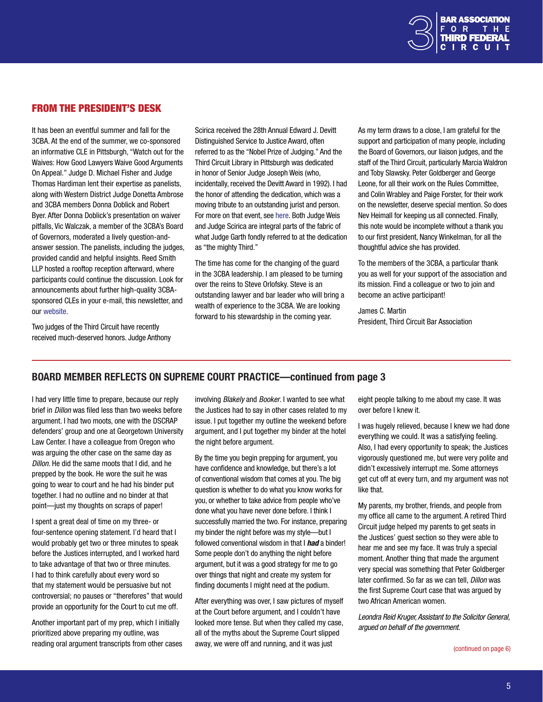

# <span id="page-4-0"></span>FROM THE PRESIDENT'S DESK

It has been an eventful summer and fall for the 3CBA. At the end of the summer, we co-sponsored an informative CLE in Pittsburgh, "Watch out for the Waives: How Good Lawyers Waive Good Arguments On Appeal." Judge D. Michael Fisher and Judge Thomas Hardiman lent their expertise as panelists, along with Western District Judge Donetta Ambrose and 3CBA members Donna Doblick and Robert Byer. After Donna Doblick's presentation on waiver pitfalls, Vic Walczak, a member of the 3CBA's Board of Governors, moderated a lively question-andanswer session. The panelists, including the judges, provided candid and helpful insights. Reed Smith LLP hosted a rooftop reception afterward, where participants could continue the discussion. Look for announcements about further high-quality 3CBAsponsored CLEs in your e-mail, this newsletter, and our [website.](www.thirdcircuitbar.org)

Scirica received the 28th Annual Edward J. Devitt Distinguished Service to Justice Award, often referred to as the "Nobel Prize of Judging." And the Third Circuit Library in Pittsburgh was dedicated in honor of Senior Judge Joseph Weis (who, incidentally, received the Devitt Award in 1992). I had the honor of attending the dedication, which was a moving tribute to an outstanding jurist and person. For more on that event, see [here.](#page-3-0) Both Judge Weis and Judge Scirica are integral parts of the fabric of what Judge Garth fondly referred to at the dedication as "the mighty Third."

The time has come for the changing of the guard in the 3CBA leadership. I am pleased to be turning over the reins to Steve Orlofsky. Steve is an outstanding lawyer and bar leader who will bring a wealth of experience to the 3CBA. We are looking forward to his stewardship in the coming year.

As my term draws to a close, I am grateful for the support and participation of many people, including the Board of Governors, our liaison judges, and the staff of the Third Circuit, particularly Marcia Waldron and Toby Slawsky. Peter Goldberger and George Leone, for all their work on the Rules Committee, and Colin Wrabley and Paige Forster, for their work on the newsletter, deserve special mention. So does Nev Heimall for keeping us all connected. Finally, this note would be incomplete without a thank you to our first president, Nancy Winkelman, for all the thoughtful advice she has provided.

To the members of the 3CBA, a particular thank you as well for your support of the association and its mission. Find a colleague or two to join and become an active participant!

James C. Martin President, Third Circuit Bar Association

Two judges of the Third Circuit have recently received much-deserved honors. Judge Anthony

# BOARD MEMBER REFLECTS ON SUPREME COURT PRACTICE—continued from page 3

I had very little time to prepare, because our reply brief in *Dillon* was filed less than two weeks before argument. I had two moots, one with the DSCRAP defenders' group and one at Georgetown University Law Center. I have a colleague from Oregon who was arguing the other case on the same day as *Dillon*. He did the same moots that I did, and he prepped by the book. He wore the suit he was going to wear to court and he had his binder put together. I had no outline and no binder at that point—just my thoughts on scraps of paper!

I spent a great deal of time on my three- or four-sentence opening statement. I'd heard that I would probably get two or three minutes to speak before the Justices interrupted, and I worked hard to take advantage of that two or three minutes. I had to think carefully about every word so that my statement would be persuasive but not controversial; no pauses or "therefores" that would provide an opportunity for the Court to cut me off.

Another important part of my prep, which I initially prioritized above preparing my outline, was reading oral argument transcripts from other cases

involving *Blakely* and *Booker*. I wanted to see what the Justices had to say in other cases related to my issue. I put together my outline the weekend before argument, and I put together my binder at the hotel the night before argument.

By the time you begin prepping for argument, you have confidence and knowledge, but there's a lot of conventional wisdom that comes at you. The big question is whether to do what you know works for you, or whether to take advice from people who've done what you have never done before. I think I successfully married the two. For instance, preparing my binder the night before was my style—but I followed conventional wisdom in that I *had* a binder! Some people don't do anything the night before argument, but it was a good strategy for me to go over things that night and create my system for finding documents I might need at the podium.

After everything was over, I saw pictures of myself at the Court before argument, and I couldn't have looked more tense. But when they called my case, all of the myths about the Supreme Court slipped away, we were off and running, and it was just

eight people talking to me about my case. It was over before I knew it.

I was hugely relieved, because I knew we had done everything we could. It was a satisfying feeling. Also, I had every opportunity to speak; the Justices vigorously questioned me, but were very polite and didn't excessively interrupt me. Some attorneys get cut off at every turn, and my argument was not like that.

My parents, my brother, friends, and people from my office all came to the argument. A retired Third Circuit judge helped my parents to get seats in the Justices' guest section so they were able to hear me and see my face. It was truly a special moment. Another thing that made the argument very special was something that Peter Goldberger later confirmed. So far as we can tell, *Dillon* was the first Supreme Court case that was argued by two African American women.

*Leondra Reid Kruger, Assistant to the Solicitor General, argued on behalf of the government.*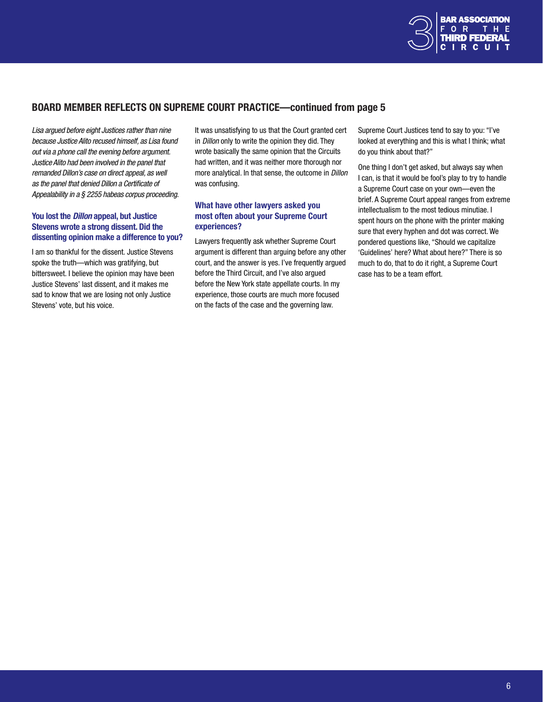

# <span id="page-5-0"></span>BOARD MEMBER REFLECTS ON SUPREME COURT PRACTICE—continued from page 5

*Lisa argued before eight Justices rather than nine because Justice Alito recused himself, as Lisa found out via a phone call the evening before argument. Justice Alito had been involved in the panel that remanded Dillon's case on direct appeal, as well as the panel that denied Dillon a Certificate of Appealability in a § 2255 habeas corpus proceeding.*

## You lost the *Dillon* appeal, but Justice Stevens wrote a strong dissent. Did the dissenting opinion make a difference to you?

I am so thankful for the dissent. Justice Stevens spoke the truth—which was gratifying, but bittersweet. I believe the opinion may have been Justice Stevens' last dissent, and it makes me sad to know that we are losing not only Justice Stevens' vote, but his voice.

It was unsatisfying to us that the Court granted cert in *Dillon* only to write the opinion they did. They wrote basically the same opinion that the Circuits had written, and it was neither more thorough nor more analytical. In that sense, the outcome in *Dillon* was confusing.

## What have other lawyers asked you most often about your Supreme Court experiences?

Lawyers frequently ask whether Supreme Court argument is different than arguing before any other court, and the answer is yes. I've frequently argued before the Third Circuit, and I've also argued before the New York state appellate courts. In my experience, those courts are much more focused on the facts of the case and the governing law.

Supreme Court Justices tend to say to you: "I've looked at everything and this is what I think; what do you think about that?"

One thing I don't get asked, but always say when I can, is that it would be fool's play to try to handle a Supreme Court case on your own—even the brief. A Supreme Court appeal ranges from extreme intellectualism to the most tedious minutiae. I spent hours on the phone with the printer making sure that every hyphen and dot was correct. We pondered questions like, "Should we capitalize 'Guidelines' here? What about here?" There is so much to do, that to do it right, a Supreme Court case has to be a team effort.